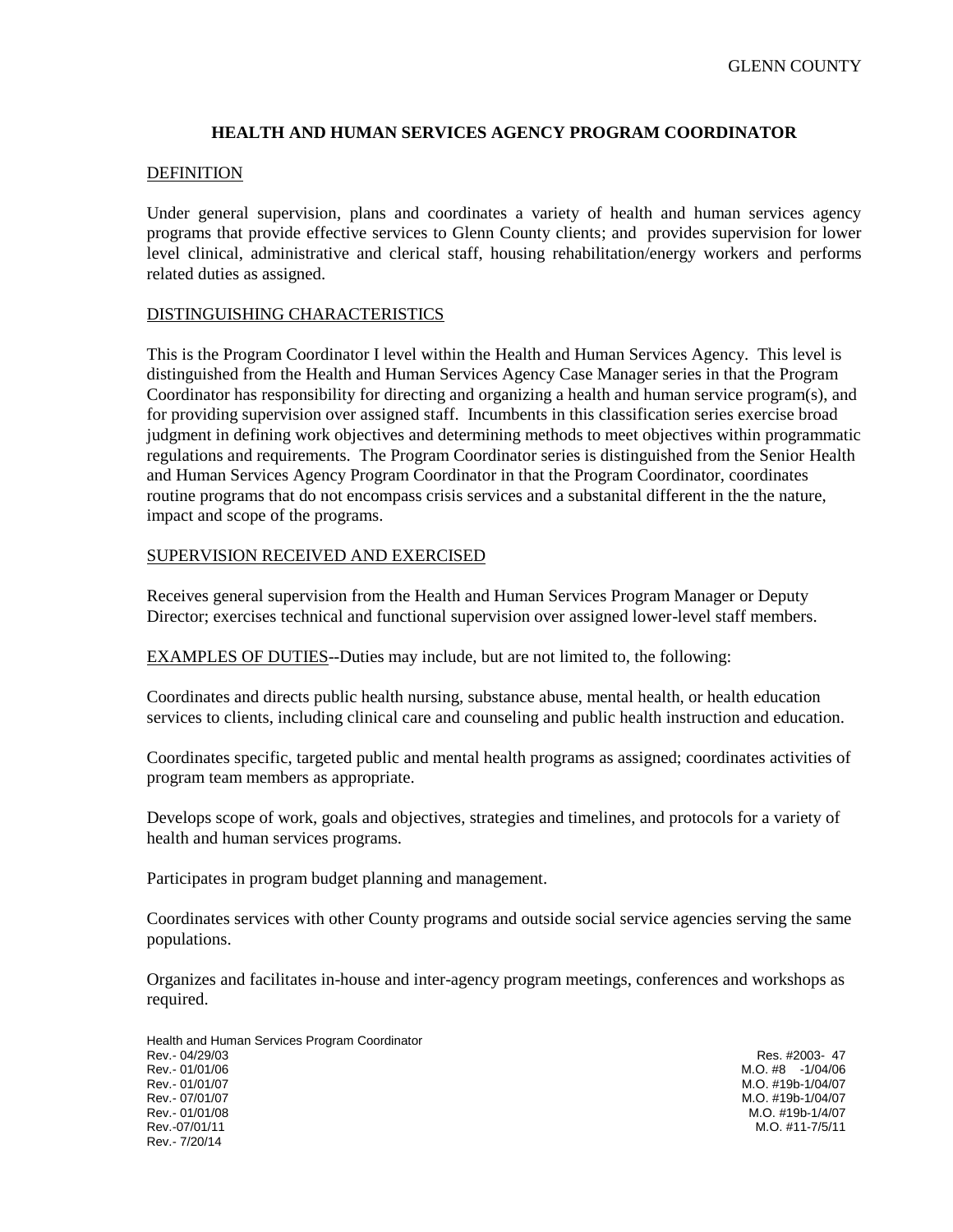# **HEALTH AND HUMAN SERVICES AGENCY PROGRAM COORDINATOR**

### DEFINITION

Under general supervision, plans and coordinates a variety of health and human services agency programs that provide effective services to Glenn County clients; and provides supervision for lower level clinical, administrative and clerical staff, housing rehabilitation/energy workers and performs related duties as assigned.

### DISTINGUISHING CHARACTERISTICS

This is the Program Coordinator I level within the Health and Human Services Agency. This level is distinguished from the Health and Human Services Agency Case Manager series in that the Program Coordinator has responsibility for directing and organizing a health and human service program(s), and for providing supervision over assigned staff. Incumbents in this classification series exercise broad judgment in defining work objectives and determining methods to meet objectives within programmatic regulations and requirements. The Program Coordinator series is distinguished from the Senior Health and Human Services Agency Program Coordinator in that the Program Coordinator, coordinates routine programs that do not encompass crisis services and a substanital different in the the nature, impact and scope of the programs.

### SUPERVISION RECEIVED AND EXERCISED

Receives general supervision from the Health and Human Services Program Manager or Deputy Director; exercises technical and functional supervision over assigned lower-level staff members.

EXAMPLES OF DUTIES--Duties may include, but are not limited to, the following:

Coordinates and directs public health nursing, substance abuse, mental health, or health education services to clients, including clinical care and counseling and public health instruction and education.

Coordinates specific, targeted public and mental health programs as assigned; coordinates activities of program team members as appropriate.

Develops scope of work, goals and objectives, strategies and timelines, and protocols for a variety of health and human services programs.

Participates in program budget planning and management.

Coordinates services with other County programs and outside social service agencies serving the same populations.

Organizes and facilitates in-house and inter-agency program meetings, conferences and workshops as required.

Health and Human Services Program Coordinator Rev.- 04/29/03 Res. #2003- 47 Rev.- 01/01/06 M.O. #8 -1/04/06 Rev.- 01/01/07 M.O. #19b-1/04/07 Rev.- 07/01/07 M.O. #19b-1/04/07 Rev.- 01/01/08 M.O. #19b-1/4/07 Rev.- 7/20/14

M.O. #11-7/5/11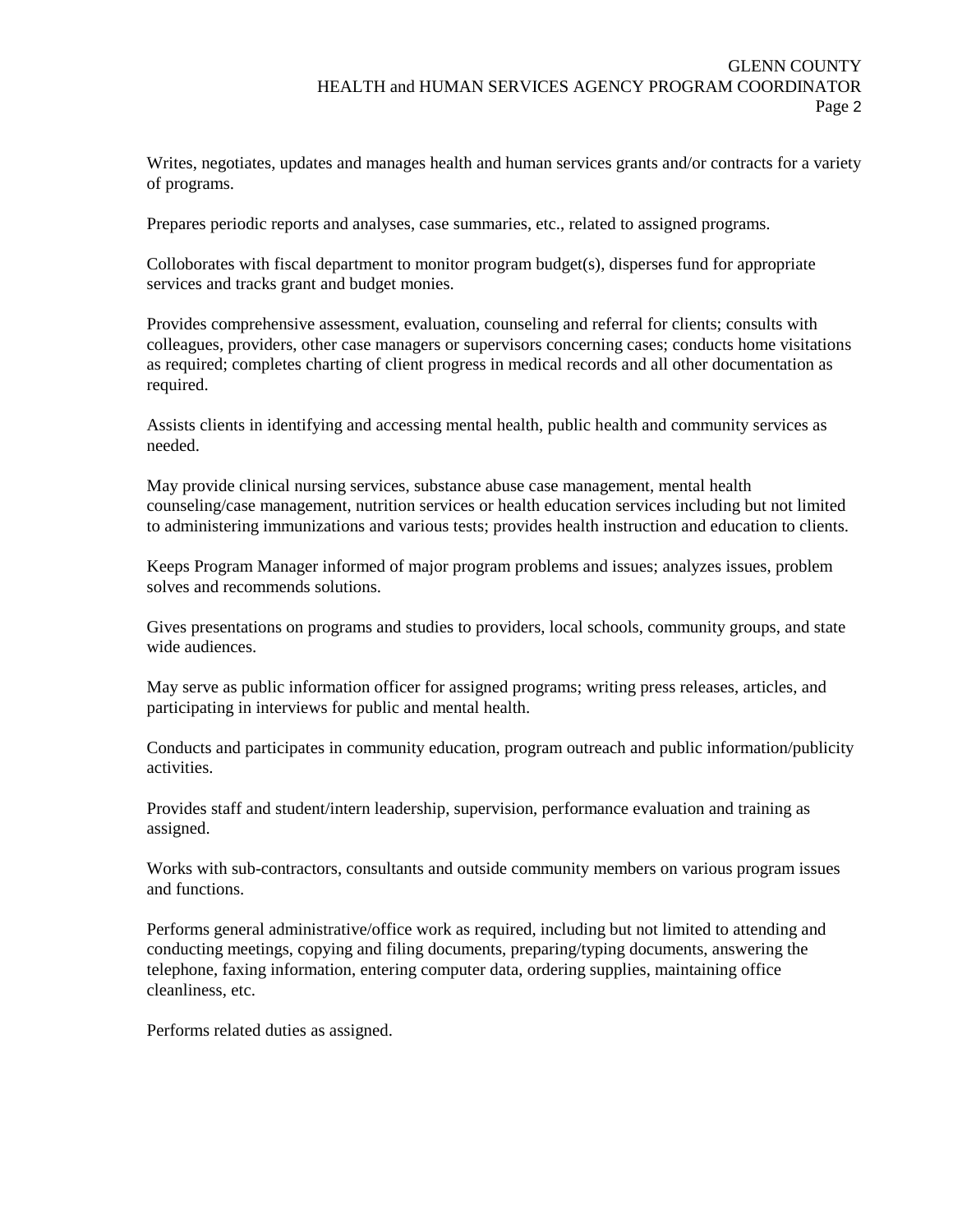Writes, negotiates, updates and manages health and human services grants and/or contracts for a variety of programs.

Prepares periodic reports and analyses, case summaries, etc., related to assigned programs.

Colloborates with fiscal department to monitor program budget(s), disperses fund for appropriate services and tracks grant and budget monies.

Provides comprehensive assessment, evaluation, counseling and referral for clients; consults with colleagues, providers, other case managers or supervisors concerning cases; conducts home visitations as required; completes charting of client progress in medical records and all other documentation as required.

Assists clients in identifying and accessing mental health, public health and community services as needed.

May provide clinical nursing services, substance abuse case management, mental health counseling/case management, nutrition services or health education services including but not limited to administering immunizations and various tests; provides health instruction and education to clients.

Keeps Program Manager informed of major program problems and issues; analyzes issues, problem solves and recommends solutions.

Gives presentations on programs and studies to providers, local schools, community groups, and state wide audiences.

May serve as public information officer for assigned programs; writing press releases, articles, and participating in interviews for public and mental health.

Conducts and participates in community education, program outreach and public information/publicity activities.

Provides staff and student/intern leadership, supervision, performance evaluation and training as assigned.

Works with sub-contractors, consultants and outside community members on various program issues and functions.

Performs general administrative/office work as required, including but not limited to attending and conducting meetings, copying and filing documents, preparing/typing documents, answering the telephone, faxing information, entering computer data, ordering supplies, maintaining office cleanliness, etc.

Performs related duties as assigned.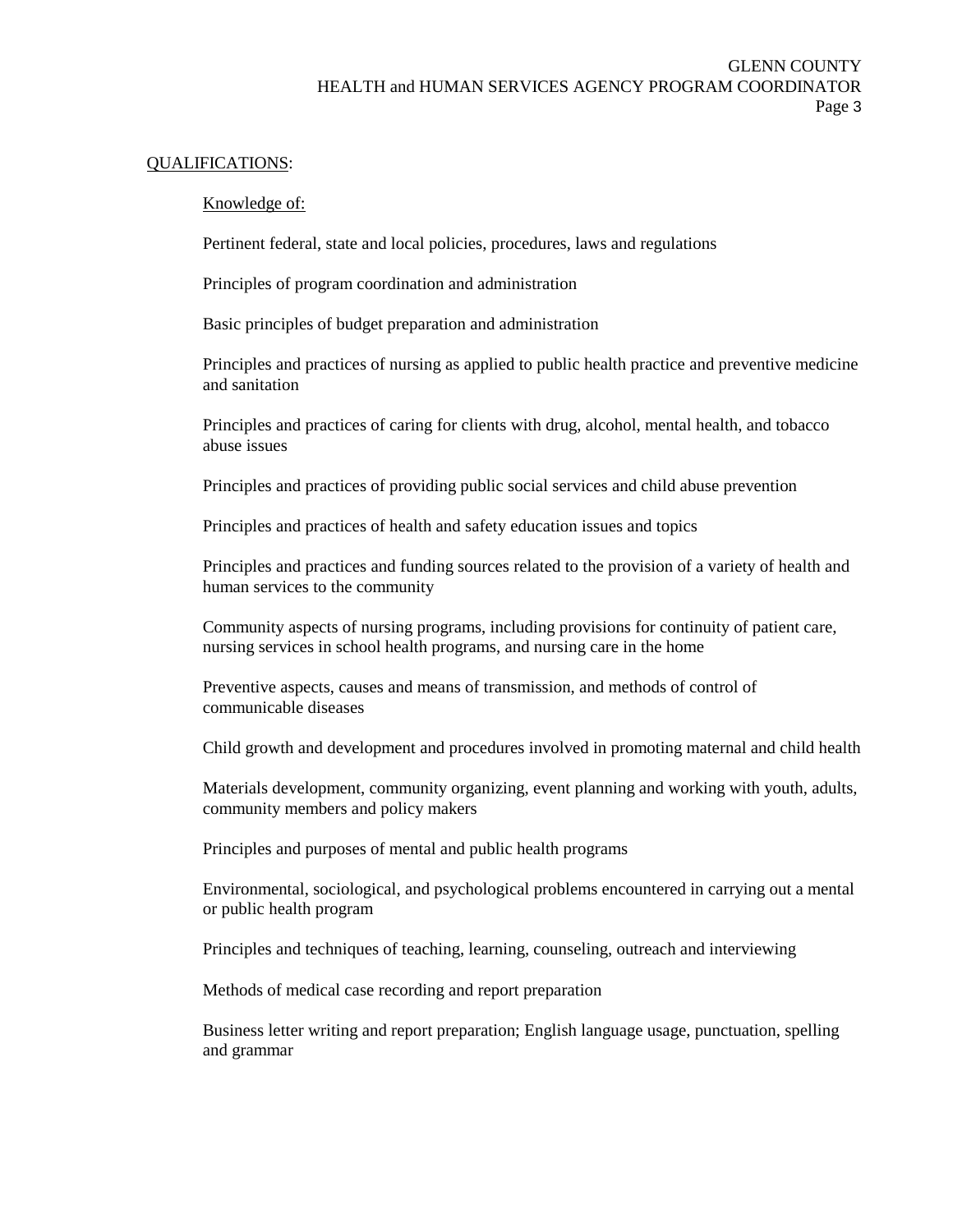# GLENN COUNTY HEALTH and HUMAN SERVICES AGENCY PROGRAM COORDINATOR Page 3

#### QUALIFICATIONS:

#### Knowledge of:

Pertinent federal, state and local policies, procedures, laws and regulations

Principles of program coordination and administration

Basic principles of budget preparation and administration

Principles and practices of nursing as applied to public health practice and preventive medicine and sanitation

Principles and practices of caring for clients with drug, alcohol, mental health, and tobacco abuse issues

Principles and practices of providing public social services and child abuse prevention

Principles and practices of health and safety education issues and topics

Principles and practices and funding sources related to the provision of a variety of health and human services to the community

Community aspects of nursing programs, including provisions for continuity of patient care, nursing services in school health programs, and nursing care in the home

Preventive aspects, causes and means of transmission, and methods of control of communicable diseases

Child growth and development and procedures involved in promoting maternal and child health

Materials development, community organizing, event planning and working with youth, adults, community members and policy makers

Principles and purposes of mental and public health programs

Environmental, sociological, and psychological problems encountered in carrying out a mental or public health program

Principles and techniques of teaching, learning, counseling, outreach and interviewing

Methods of medical case recording and report preparation

Business letter writing and report preparation; English language usage, punctuation, spelling and grammar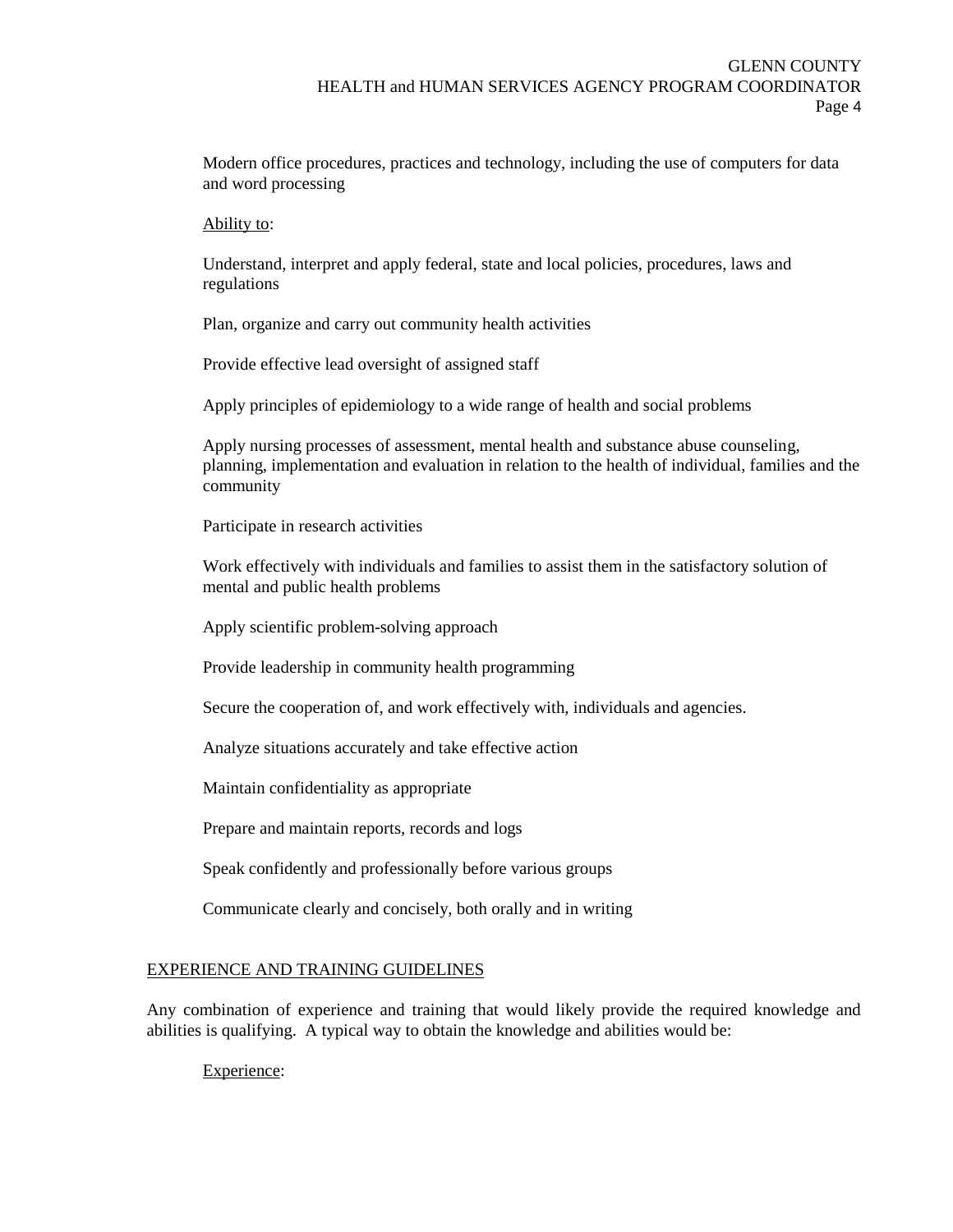Modern office procedures, practices and technology, including the use of computers for data and word processing

#### Ability to:

Understand, interpret and apply federal, state and local policies, procedures, laws and regulations

Plan, organize and carry out community health activities

Provide effective lead oversight of assigned staff

Apply principles of epidemiology to a wide range of health and social problems

Apply nursing processes of assessment, mental health and substance abuse counseling, planning, implementation and evaluation in relation to the health of individual, families and the community

Participate in research activities

Work effectively with individuals and families to assist them in the satisfactory solution of mental and public health problems

Apply scientific problem-solving approach

Provide leadership in community health programming

Secure the cooperation of, and work effectively with, individuals and agencies.

Analyze situations accurately and take effective action

Maintain confidentiality as appropriate

Prepare and maintain reports, records and logs

Speak confidently and professionally before various groups

Communicate clearly and concisely, both orally and in writing

### EXPERIENCE AND TRAINING GUIDELINES

Any combination of experience and training that would likely provide the required knowledge and abilities is qualifying. A typical way to obtain the knowledge and abilities would be:

Experience: